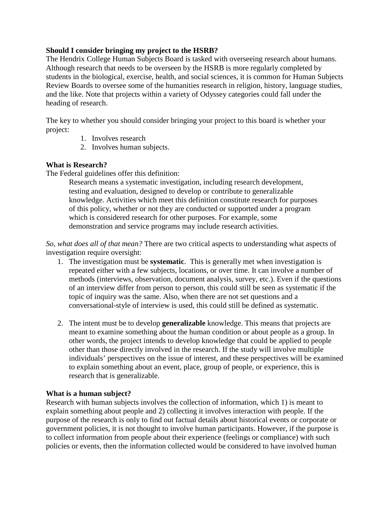# **Should I consider bringing my project to the HSRB?**

The Hendrix College Human Subjects Board is tasked with overseeing research about humans. Although research that needs to be overseen by the HSRB is more regularly completed by students in the biological, exercise, health, and social sciences, it is common for Human Subjects Review Boards to oversee some of the humanities research in religion, history, language studies, and the like. Note that projects within a variety of Odyssey categories could fall under the heading of research.

The key to whether you should consider bringing your project to this board is whether your project:

- 1. Involves research
- 2. Involves human subjects.

# **What is Research?**

The Federal guidelines offer this definition:

Research means a systematic investigation, including research development, testing and evaluation, designed to develop or contribute to generalizable knowledge. Activities which meet this definition constitute research for purposes of this policy, whether or not they are conducted or supported under a program which is considered research for other purposes. For example, some demonstration and service programs may include research activities.

*So, what does all of that mean?* There are two critical aspects to understanding what aspects of investigation require oversight:

- 1. The investigation must be **systematic**. This is generally met when investigation is repeated either with a few subjects, locations, or over time. It can involve a number of methods (interviews, observation, document analysis, survey, etc.). Even if the questions of an interview differ from person to person, this could still be seen as systematic if the topic of inquiry was the same. Also, when there are not set questions and a conversational-style of interview is used, this could still be defined as systematic.
- 2. The intent must be to develop **generalizable** knowledge. This means that projects are meant to examine something about the human condition or about people as a group. In other words, the project intends to develop knowledge that could be applied to people other than those directly involved in the research. If the study will involve multiple individuals' perspectives on the issue of interest, and these perspectives will be examined to explain something about an event, place, group of people, or experience, this is research that is generalizable.

### **What is a human subject?**

Research with human subjects involves the collection of information, which 1) is meant to explain something about people and 2) collecting it involves interaction with people. If the purpose of the research is only to find out factual details about historical events or corporate or government policies, it is not thought to involve human participants. However, if the purpose is to collect information from people about their experience (feelings or compliance) with such policies or events, then the information collected would be considered to have involved human